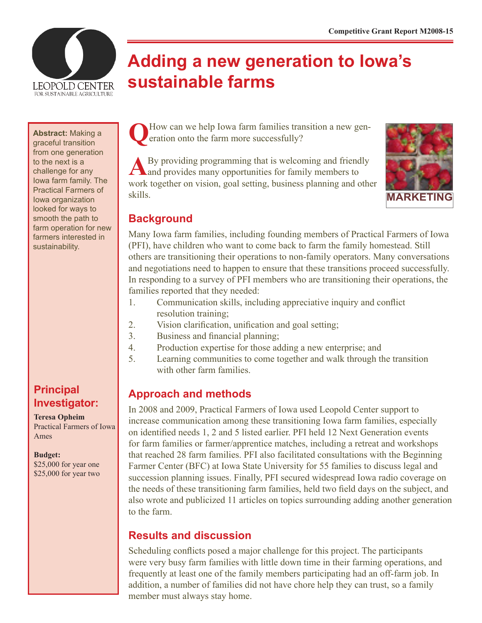

# **Adding a new generation to Iowa's sustainable farms**

**Abstract:** Making a graceful transition from one generation to the next is a challenge for any Iowa farm family. The Practical Farmers of Iowa organization looked for ways to smooth the path to farm operation for new farmers interested in sustainability.

# **Principal Investigator:**

**Teresa Opheim** Practical Farmers of Iowa Ames

**Budget:**

\$25,000 for year one \$25,000 for year two How can we help Iowa farm families transition a new generation onto the farm more successfully?

**A**By providing programming that is welcoming and friendly and provides many opportunities for family members to work together on vision, goal setting, business planning and other skills.



#### **Background**

Many Iowa farm families, including founding members of Practical Farmers of Iowa (PFI), have children who want to come back to farm the family homestead. Still others are transitioning their operations to non-family operators. Many conversations and negotiations need to happen to ensure that these transitions proceed successfully. In responding to a survey of PFI members who are transitioning their operations, the families reported that they needed:

- 1. Communication skills, including appreciative inquiry and conflict resolution training;
- 2. Vision clarification, unification and goal setting;
- 3. Business and financial planning;
- 4. Production expertise for those adding a new enterprise; and
- 5. Learning communities to come together and walk through the transition with other farm families.

# **Approach and methods**

In 2008 and 2009, Practical Farmers of Iowa used Leopold Center support to increase communication among these transitioning Iowa farm families, especially on identified needs 1, 2 and 5 listed earlier. PFI held 12 Next Generation events for farm families or farmer/apprentice matches, including a retreat and workshops that reached 28 farm families. PFI also facilitated consultations with the Beginning Farmer Center (BFC) at Iowa State University for 55 families to discuss legal and succession planning issues. Finally, PFI secured widespread Iowa radio coverage on the needs of these transitioning farm families, held two field days on the subject, and also wrote and publicized 11 articles on topics surrounding adding another generation to the farm.

# **Results and discussion**

Scheduling conflicts posed a major challenge for this project. The participants were very busy farm families with little down time in their farming operations, and frequently at least one of the family members participating had an off-farm job. In addition, a number of families did not have chore help they can trust, so a family member must always stay home.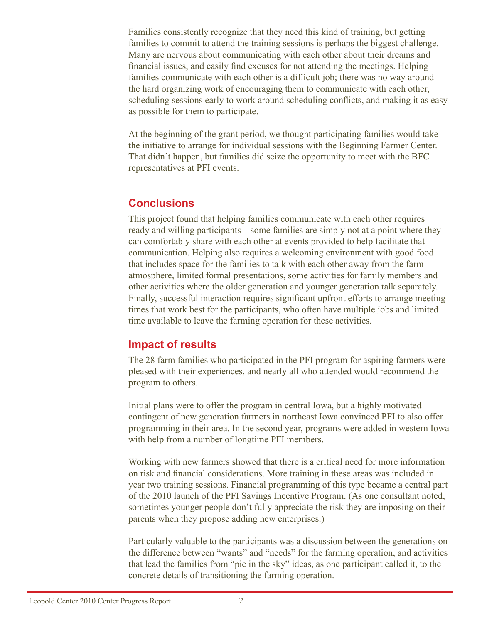Families consistently recognize that they need this kind of training, but getting families to commit to attend the training sessions is perhaps the biggest challenge. Many are nervous about communicating with each other about their dreams and financial issues, and easily find excuses for not attending the meetings. Helping families communicate with each other is a difficult job; there was no way around the hard organizing work of encouraging them to communicate with each other, scheduling sessions early to work around scheduling conflicts, and making it as easy as possible for them to participate.

At the beginning of the grant period, we thought participating families would take the initiative to arrange for individual sessions with the Beginning Farmer Center. That didn't happen, but families did seize the opportunity to meet with the BFC representatives at PFI events.

#### **Conclusions**

This project found that helping families communicate with each other requires ready and willing participants—some families are simply not at a point where they can comfortably share with each other at events provided to help facilitate that communication. Helping also requires a welcoming environment with good food that includes space for the families to talk with each other away from the farm atmosphere, limited formal presentations, some activities for family members and other activities where the older generation and younger generation talk separately. Finally, successful interaction requires significant upfront efforts to arrange meeting times that work best for the participants, who often have multiple jobs and limited time available to leave the farming operation for these activities.

#### **Impact of results**

The 28 farm families who participated in the PFI program for aspiring farmers were pleased with their experiences, and nearly all who attended would recommend the program to others.

Initial plans were to offer the program in central Iowa, but a highly motivated contingent of new generation farmers in northeast Iowa convinced PFI to also offer programming in their area. In the second year, programs were added in western Iowa with help from a number of longtime PFI members.

Working with new farmers showed that there is a critical need for more information on risk and financial considerations. More training in these areas was included in year two training sessions. Financial programming of this type became a central part of the 2010 launch of the PFI Savings Incentive Program. (As one consultant noted, sometimes younger people don't fully appreciate the risk they are imposing on their parents when they propose adding new enterprises.)

Particularly valuable to the participants was a discussion between the generations on the difference between "wants" and "needs" for the farming operation, and activities that lead the families from "pie in the sky" ideas, as one participant called it, to the concrete details of transitioning the farming operation.